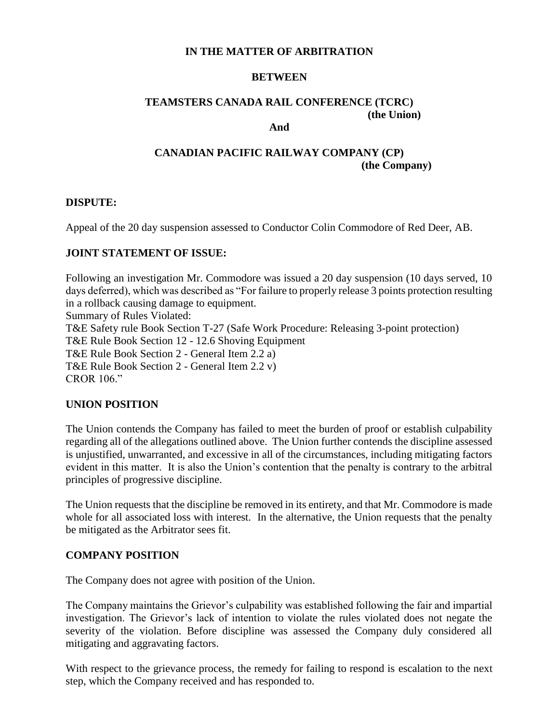#### **IN THE MATTER OF ARBITRATION**

#### **BETWEEN**

# **TEAMSTERS CANADA RAIL CONFERENCE (TCRC) (the Union)**

#### **And**

## **CANADIAN PACIFIC RAILWAY COMPANY (CP) (the Company)**

#### **DISPUTE:**

Appeal of the 20 day suspension assessed to Conductor Colin Commodore of Red Deer, AB.

#### **JOINT STATEMENT OF ISSUE:**

Following an investigation Mr. Commodore was issued a 20 day suspension (10 days served, 10 days deferred), which was described as "For failure to properly release 3 points protection resulting in a rollback causing damage to equipment. Summary of Rules Violated: T&E Safety rule Book Section T-27 (Safe Work Procedure: Releasing 3-point protection) T&E Rule Book Section 12 - 12.6 Shoving Equipment T&E Rule Book Section 2 - General Item 2.2 a) T&E Rule Book Section 2 - General Item 2.2 v) CROR 106."

#### **UNION POSITION**

The Union contends the Company has failed to meet the burden of proof or establish culpability regarding all of the allegations outlined above. The Union further contends the discipline assessed is unjustified, unwarranted, and excessive in all of the circumstances, including mitigating factors evident in this matter. It is also the Union's contention that the penalty is contrary to the arbitral principles of progressive discipline.

The Union requests that the discipline be removed in its entirety, and that Mr. Commodore is made whole for all associated loss with interest. In the alternative, the Union requests that the penalty be mitigated as the Arbitrator sees fit.

#### **COMPANY POSITION**

The Company does not agree with position of the Union.

The Company maintains the Grievor's culpability was established following the fair and impartial investigation. The Grievor's lack of intention to violate the rules violated does not negate the severity of the violation. Before discipline was assessed the Company duly considered all mitigating and aggravating factors.

With respect to the grievance process, the remedy for failing to respond is escalation to the next step, which the Company received and has responded to.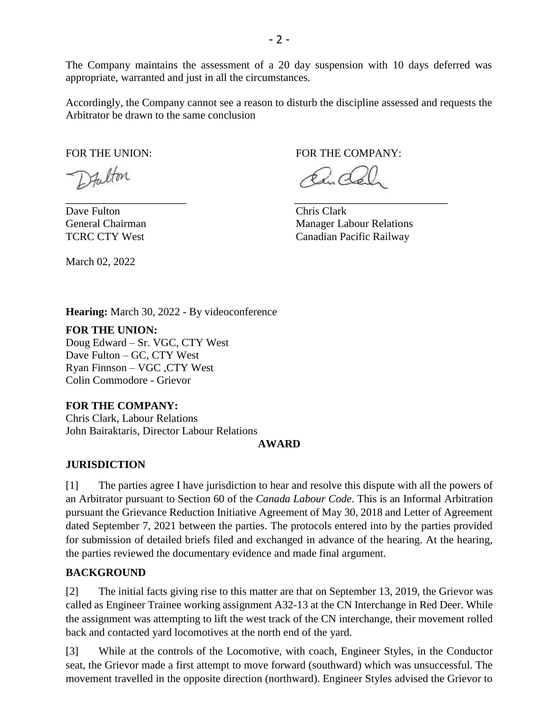The Company maintains the assessment of a 20 day suspension with 10 days deferred was appropriate, warranted and just in all the circumstances.

Accordingly, the Company cannot see a reason to disturb the discipline assessed and requests the Arbitrator be drawn to the same conclusion

\_\_\_\_\_\_\_\_\_\_\_\_\_\_\_\_\_\_\_\_\_\_ \_\_\_\_\_\_\_\_\_\_\_\_\_\_\_\_\_\_\_\_\_\_\_\_\_\_\_\_

Fulton

Dave Fulton Chris Clark

March 02, 2022

FOR THE UNION: FOR THE COMPANY:

 $\mathfrak{s}\times\mathfrak{a}\times$ 

General Chairman Manager Labour Relations TCRC CTY West Canadian Pacific Railway

**Hearing:** March 30, 2022 - By videoconference

#### **FOR THE UNION:**

Doug Edward – Sr. VGC, CTY West Dave Fulton – GC, CTY West Ryan Finnson – VGC ,CTY West Colin Commodore - Grievor

### **FOR THE COMPANY:**

Chris Clark, Labour Relations John Bairaktaris, Director Labour Relations

#### **AWARD**

### **JURISDICTION**

[1] The parties agree I have jurisdiction to hear and resolve this dispute with all the powers of an Arbitrator pursuant to Section 60 of the *Canada Labour Code*. This is an Informal Arbitration pursuant the Grievance Reduction Initiative Agreement of May 30, 2018 and Letter of Agreement dated September 7, 2021 between the parties. The protocols entered into by the parties provided for submission of detailed briefs filed and exchanged in advance of the hearing. At the hearing, the parties reviewed the documentary evidence and made final argument.

## **BACKGROUND**

[2] The initial facts giving rise to this matter are that on September 13, 2019, the Grievor was called as Engineer Trainee working assignment A32-13 at the CN Interchange in Red Deer. While the assignment was attempting to lift the west track of the CN interchange, their movement rolled back and contacted yard locomotives at the north end of the yard.

[3] While at the controls of the Locomotive, with coach, Engineer Styles, in the Conductor seat, the Grievor made a first attempt to move forward (southward) which was unsuccessful. The movement travelled in the opposite direction (northward). Engineer Styles advised the Grievor to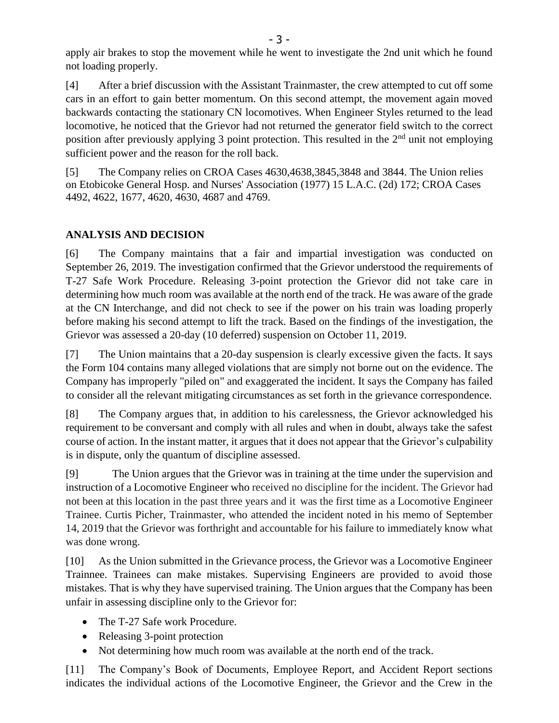apply air brakes to stop the movement while he went to investigate the 2nd unit which he found not loading properly.

[4] After a brief discussion with the Assistant Trainmaster, the crew attempted to cut off some cars in an effort to gain better momentum. On this second attempt, the movement again moved backwards contacting the stationary CN locomotives. When Engineer Styles returned to the lead locomotive, he noticed that the Grievor had not returned the generator field switch to the correct position after previously applying 3 point protection. This resulted in the 2<sup>nd</sup> unit not employing sufficient power and the reason for the roll back.

[5] The Company relies on CROA Cases 4630,4638,3845,3848 and 3844. The Union relies on Etobicoke General Hosp. and Nurses' Association (1977) 15 L.A.C. (2d) 172; CROA Cases 4492, 4622, 1677, 4620, 4630, 4687 and 4769.

## **ANALYSIS AND DECISION**

[6] The Company maintains that a fair and impartial investigation was conducted on September 26, 2019. The investigation confirmed that the Grievor understood the requirements of T-27 Safe Work Procedure. Releasing 3-point protection the Grievor did not take care in determining how much room was available at the north end of the track. He was aware of the grade at the CN Interchange, and did not check to see if the power on his train was loading properly before making his second attempt to lift the track. Based on the findings of the investigation, the Grievor was assessed a 20-day (10 deferred) suspension on October 11, 2019.

[7] The Union maintains that a 20-day suspension is clearly excessive given the facts. It says the Form 104 contains many alleged violations that are simply not borne out on the evidence. The Company has improperly "piled on" and exaggerated the incident. It says the Company has failed to consider all the relevant mitigating circumstances as set forth in the grievance correspondence.

[8] The Company argues that, in addition to his carelessness, the Grievor acknowledged his requirement to be conversant and comply with all rules and when in doubt, always take the safest course of action. In the instant matter, it argues that it does not appear that the Grievor's culpability is in dispute, only the quantum of discipline assessed.

[9] The Union argues that the Grievor was in training at the time under the supervision and instruction of a Locomotive Engineer who received no discipline for the incident. The Grievor had not been at this location in the past three years and it was the first time as a Locomotive Engineer Trainee. Curtis Picher, Trainmaster, who attended the incident noted in his memo of September 14, 2019 that the Grievor was forthright and accountable for his failure to immediately know what was done wrong.

[10] As the Union submitted in the Grievance process, the Grievor was a Locomotive Engineer Trainnee. Trainees can make mistakes. Supervising Engineers are provided to avoid those mistakes. That is why they have supervised training. The Union argues that the Company has been unfair in assessing discipline only to the Grievor for:

- The T-27 Safe work Procedure.
- Releasing 3-point protection
- Not determining how much room was available at the north end of the track.

[11] The Company's Book of Documents, Employee Report, and Accident Report sections indicates the individual actions of the Locomotive Engineer, the Grievor and the Crew in the